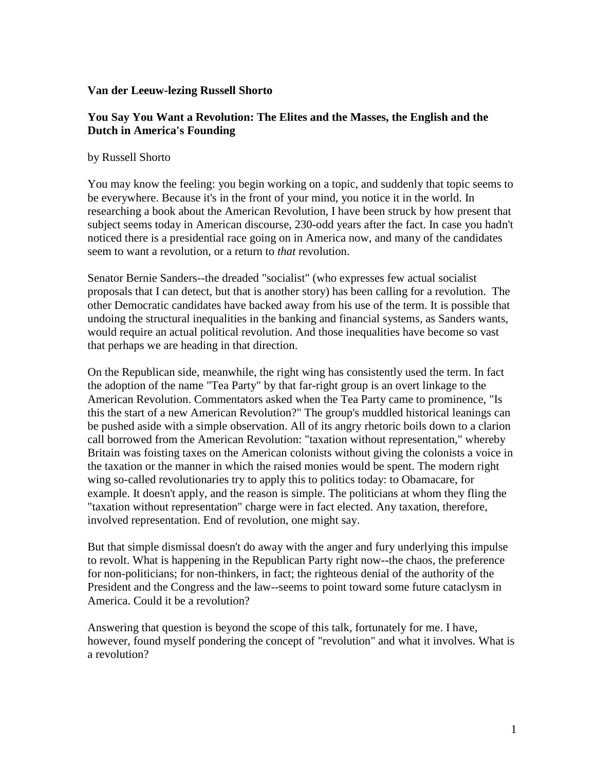## **Van der Leeuw-lezing Russell Shorto**

## **You Say You Want a Revolution: The Elites and the Masses, the English and the Dutch in America's Founding**

## by Russell Shorto

You may know the feeling: you begin working on a topic, and suddenly that topic seems to be everywhere. Because it's in the front of your mind, you notice it in the world. In researching a book about the American Revolution, I have been struck by how present that subject seems today in American discourse, 230-odd years after the fact. In case you hadn't noticed there is a presidential race going on in America now, and many of the candidates seem to want a revolution, or a return to *that* revolution.

Senator Bernie Sanders--the dreaded "socialist" (who expresses few actual socialist proposals that I can detect, but that is another story) has been calling for a revolution. The other Democratic candidates have backed away from his use of the term. It is possible that undoing the structural inequalities in the banking and financial systems, as Sanders wants, would require an actual political revolution. And those inequalities have become so vast that perhaps we are heading in that direction.

On the Republican side, meanwhile, the right wing has consistently used the term. In fact the adoption of the name "Tea Party" by that far-right group is an overt linkage to the American Revolution. Commentators asked when the Tea Party came to prominence, "Is this the start of a new American Revolution?" The group's muddled historical leanings can be pushed aside with a simple observation. All of its angry rhetoric boils down to a clarion call borrowed from the American Revolution: "taxation without representation," whereby Britain was foisting taxes on the American colonists without giving the colonists a voice in the taxation or the manner in which the raised monies would be spent. The modern right wing so-called revolutionaries try to apply this to politics today: to Obamacare, for example. It doesn't apply, and the reason is simple. The politicians at whom they fling the "taxation without representation" charge were in fact elected. Any taxation, therefore, involved representation. End of revolution, one might say.

But that simple dismissal doesn't do away with the anger and fury underlying this impulse to revolt. What is happening in the Republican Party right now--the chaos, the preference for non-politicians; for non-thinkers, in fact; the righteous denial of the authority of the President and the Congress and the law--seems to point toward some future cataclysm in America. Could it be a revolution?

Answering that question is beyond the scope of this talk, fortunately for me. I have, however, found myself pondering the concept of "revolution" and what it involves. What is a revolution?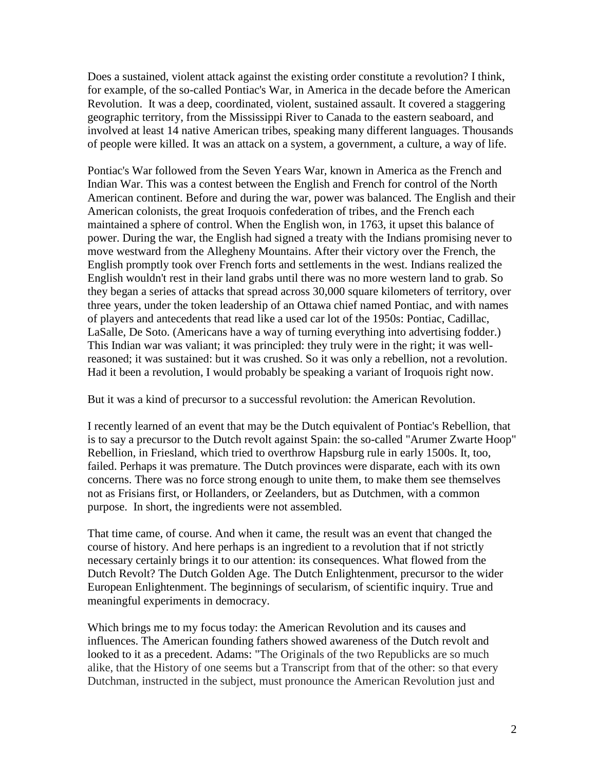Does a sustained, violent attack against the existing order constitute a revolution? I think, for example, of the so-called Pontiac's War, in America in the decade before the American Revolution. It was a deep, coordinated, violent, sustained assault. It covered a staggering geographic territory, from the Mississippi River to Canada to the eastern seaboard, and involved at least 14 native American tribes, speaking many different languages. Thousands of people were killed. It was an attack on a system, a government, a culture, a way of life.

Pontiac's War followed from the Seven Years War, known in America as the French and Indian War. This was a contest between the English and French for control of the North American continent. Before and during the war, power was balanced. The English and their American colonists, the great Iroquois confederation of tribes, and the French each maintained a sphere of control. When the English won, in 1763, it upset this balance of power. During the war, the English had signed a treaty with the Indians promising never to move westward from the Allegheny Mountains. After their victory over the French, the English promptly took over French forts and settlements in the west. Indians realized the English wouldn't rest in their land grabs until there was no more western land to grab. So they began a series of attacks that spread across 30,000 square kilometers of territory, over three years, under the token leadership of an Ottawa chief named Pontiac, and with names of players and antecedents that read like a used car lot of the 1950s: Pontiac, Cadillac, LaSalle, De Soto. (Americans have a way of turning everything into advertising fodder.) This Indian war was valiant; it was principled: they truly were in the right; it was wellreasoned; it was sustained: but it was crushed. So it was only a rebellion, not a revolution. Had it been a revolution, I would probably be speaking a variant of Iroquois right now.

But it was a kind of precursor to a successful revolution: the American Revolution.

I recently learned of an event that may be the Dutch equivalent of Pontiac's Rebellion, that is to say a precursor to the Dutch revolt against Spain: the so-called "Arumer Zwarte Hoop" Rebellion, in Friesland, which tried to overthrow Hapsburg rule in early 1500s. It, too, failed. Perhaps it was premature. The Dutch provinces were disparate, each with its own concerns. There was no force strong enough to unite them, to make them see themselves not as Frisians first, or Hollanders, or Zeelanders, but as Dutchmen, with a common purpose. In short, the ingredients were not assembled.

That time came, of course. And when it came, the result was an event that changed the course of history. And here perhaps is an ingredient to a revolution that if not strictly necessary certainly brings it to our attention: its consequences. What flowed from the Dutch Revolt? The Dutch Golden Age. The Dutch Enlightenment, precursor to the wider European Enlightenment. The beginnings of secularism, of scientific inquiry. True and meaningful experiments in democracy.

Which brings me to my focus today: the American Revolution and its causes and influences. The American founding fathers showed awareness of the Dutch revolt and looked to it as a precedent. Adams: "The Originals of the two Republicks are so much alike, that the History of one seems but a Transcript from that of the other: so that every Dutchman, instructed in the subject, must pronounce the American Revolution just and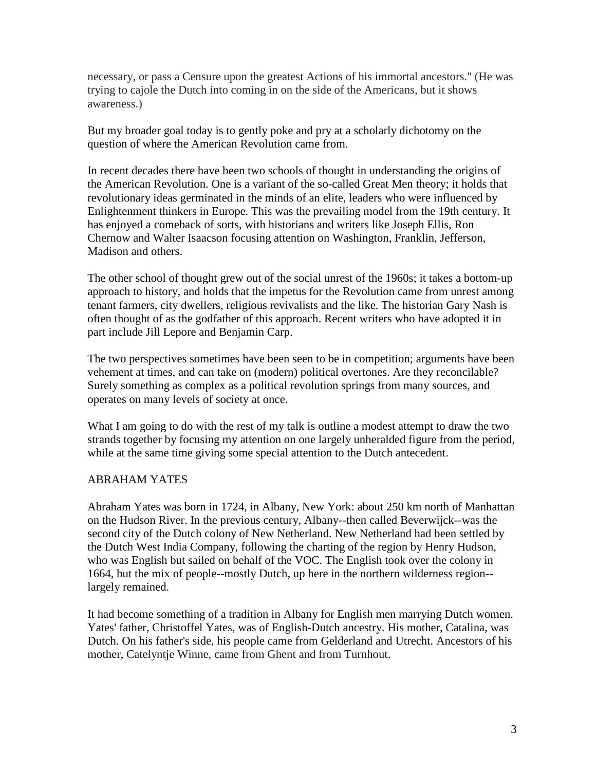necessary, or pass a Censure upon the greatest Actions of his immortal ancestors." (He was trying to cajole the Dutch into coming in on the side of the Americans, but it shows awareness.)

But my broader goal today is to gently poke and pry at a scholarly dichotomy on the question of where the American Revolution came from.

In recent decades there have been two schools of thought in understanding the origins of the American Revolution. One is a variant of the so-called Great Men theory; it holds that revolutionary ideas germinated in the minds of an elite, leaders who were influenced by Enlightenment thinkers in Europe. This was the prevailing model from the 19th century. It has enjoyed a comeback of sorts, with historians and writers like Joseph Ellis, Ron Chernow and Walter Isaacson focusing attention on Washington, Franklin, Jefferson, Madison and others.

The other school of thought grew out of the social unrest of the 1960s; it takes a bottom-up approach to history, and holds that the impetus for the Revolution came from unrest among tenant farmers, city dwellers, religious revivalists and the like. The historian Gary Nash is often thought of as the godfather of this approach. Recent writers who have adopted it in part include Jill Lepore and Benjamin Carp.

The two perspectives sometimes have been seen to be in competition; arguments have been vehement at times, and can take on (modern) political overtones. Are they reconcilable? Surely something as complex as a political revolution springs from many sources, and operates on many levels of society at once.

What I am going to do with the rest of my talk is outline a modest attempt to draw the two strands together by focusing my attention on one largely unheralded figure from the period, while at the same time giving some special attention to the Dutch antecedent.

## ABRAHAM YATES

Abraham Yates was born in 1724, in Albany, New York: about 250 km north of Manhattan on the Hudson River. In the previous century, Albany--then called Beverwijck--was the second city of the Dutch colony of New Netherland. New Netherland had been settled by the Dutch West India Company, following the charting of the region by Henry Hudson, who was English but sailed on behalf of the VOC. The English took over the colony in 1664, but the mix of people--mostly Dutch, up here in the northern wilderness region- largely remained.

It had become something of a tradition in Albany for English men marrying Dutch women. Yates' father, Christoffel Yates, was of English-Dutch ancestry. His mother, Catalina, was Dutch. On his father's side, his people came from Gelderland and Utrecht. Ancestors of his mother, Catelyntje Winne, came from Ghent and from Turnhout.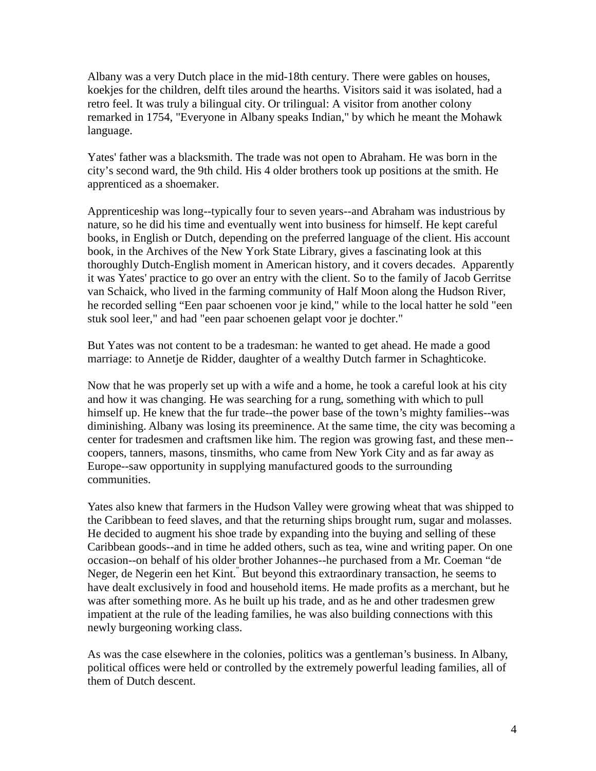Albany was a very Dutch place in the mid-18th century. There were gables on houses, koekjes for the children, delft tiles around the hearths. Visitors said it was isolated, had a retro feel. It was truly a bilingual city. Or trilingual: A visitor from another colony remarked in 1754, "Everyone in Albany speaks Indian," by which he meant the Mohawk language.

Yates' father was a blacksmith. The trade was not open to Abraham. He was born in the city's second ward, the 9th child. His 4 older brothers took up positions at the smith. He apprenticed as a shoemaker.

Apprenticeship was long--typically four to seven years--and Abraham was industrious by nature, so he did his time and eventually went into business for himself. He kept careful books, in English or Dutch, depending on the preferred language of the client. His account book, in the Archives of the New York State Library, gives a fascinating look at this thoroughly Dutch-English moment in American history, and it covers decades. Apparently it was Yates' practice to go over an entry with the client. So to the family of Jacob Gerritse van Schaick, who lived in the farming community of Half Moon along the Hudson River, he recorded selling "Een paar schoenen voor je kind," while to the local hatter he sold "een stuk sool leer," and had "een paar schoenen gelapt voor je dochter."

But Yates was not content to be a tradesman: he wanted to get ahead. He made a good marriage: to Annetje de Ridder, daughter of a wealthy Dutch farmer in Schaghticoke.

Now that he was properly set up with a wife and a home, he took a careful look at his city and how it was changing. He was searching for a rung, something with which to pull himself up. He knew that the fur trade--the power base of the town's mighty families--was diminishing. Albany was losing its preeminence. At the same time, the city was becoming a center for tradesmen and craftsmen like him. The region was growing fast, and these men- coopers, tanners, masons, tinsmiths, who came from New York City and as far away as Europe--saw opportunity in supplying manufactured goods to the surrounding communities.

Yates also knew that farmers in the Hudson Valley were growing wheat that was shipped to the Caribbean to feed slaves, and that the returning ships brought rum, sugar and molasses. He decided to augment his shoe trade by expanding into the buying and selling of these Caribbean goods--and in time he added others, such as tea, wine and writing paper. On one occasion--on behalf of his older brother Johannes--he purchased from a Mr. Coeman "de Neger, de Negerin een het Kint." But beyond this extraordinary transaction, he seems to have dealt exclusively in food and household items. He made profits as a merchant, but he was after something more. As he built up his trade, and as he and other tradesmen grew impatient at the rule of the leading families, he was also building connections with this newly burgeoning working class.

As was the case elsewhere in the colonies, politics was a gentleman's business. In Albany, political offices were held or controlled by the extremely powerful leading families, all of them of Dutch descent.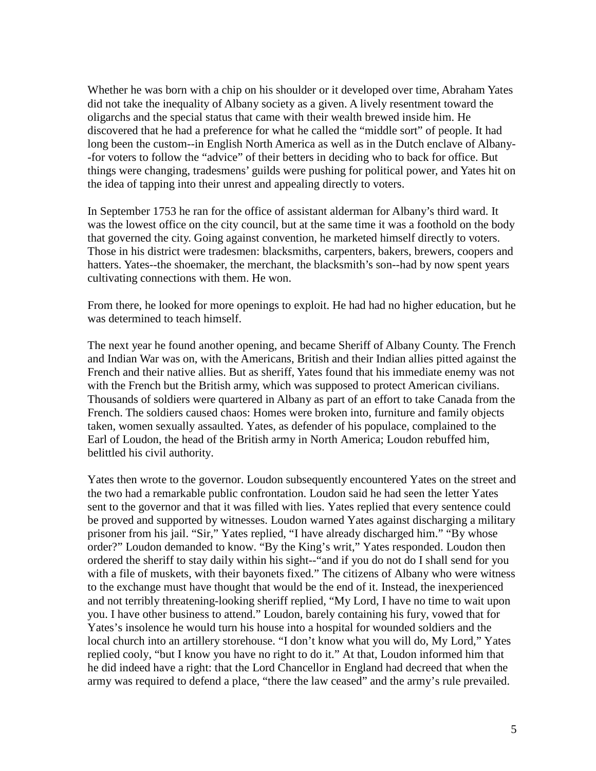Whether he was born with a chip on his shoulder or it developed over time, Abraham Yates did not take the inequality of Albany society as a given. A lively resentment toward the oligarchs and the special status that came with their wealth brewed inside him. He discovered that he had a preference for what he called the "middle sort" of people. It had long been the custom--in English North America as well as in the Dutch enclave of Albany- -for voters to follow the "advice" of their betters in deciding who to back for office. But things were changing, tradesmens' guilds were pushing for political power, and Yates hit on the idea of tapping into their unrest and appealing directly to voters.

In September 1753 he ran for the office of assistant alderman for Albany's third ward. It was the lowest office on the city council, but at the same time it was a foothold on the body that governed the city. Going against convention, he marketed himself directly to voters. Those in his district were tradesmen: blacksmiths, carpenters, bakers, brewers, coopers and hatters. Yates--the shoemaker, the merchant, the blacksmith's son--had by now spent years cultivating connections with them. He won.

From there, he looked for more openings to exploit. He had had no higher education, but he was determined to teach himself.

The next year he found another opening, and became Sheriff of Albany County. The French and Indian War was on, with the Americans, British and their Indian allies pitted against the French and their native allies. But as sheriff, Yates found that his immediate enemy was not with the French but the British army, which was supposed to protect American civilians. Thousands of soldiers were quartered in Albany as part of an effort to take Canada from the French. The soldiers caused chaos: Homes were broken into, furniture and family objects taken, women sexually assaulted. Yates, as defender of his populace, complained to the Earl of Loudon, the head of the British army in North America; Loudon rebuffed him, belittled his civil authority.

Yates then wrote to the governor. Loudon subsequently encountered Yates on the street and the two had a remarkable public confrontation. Loudon said he had seen the letter Yates sent to the governor and that it was filled with lies. Yates replied that every sentence could be proved and supported by witnesses. Loudon warned Yates against discharging a military prisoner from his jail. "Sir," Yates replied, "I have already discharged him." "By whose order?" Loudon demanded to know. "By the King's writ," Yates responded. Loudon then ordered the sheriff to stay daily within his sight--"and if you do not do I shall send for you with a file of muskets, with their bayonets fixed." The citizens of Albany who were witness to the exchange must have thought that would be the end of it. Instead, the inexperienced and not terribly threatening-looking sheriff replied, "My Lord, I have no time to wait upon you. I have other business to attend." Loudon, barely containing his fury, vowed that for Yates's insolence he would turn his house into a hospital for wounded soldiers and the local church into an artillery storehouse. "I don't know what you will do, My Lord," Yates replied cooly, "but I know you have no right to do it." At that, Loudon informed him that he did indeed have a right: that the Lord Chancellor in England had decreed that when the army was required to defend a place, "there the law ceased" and the army's rule prevailed.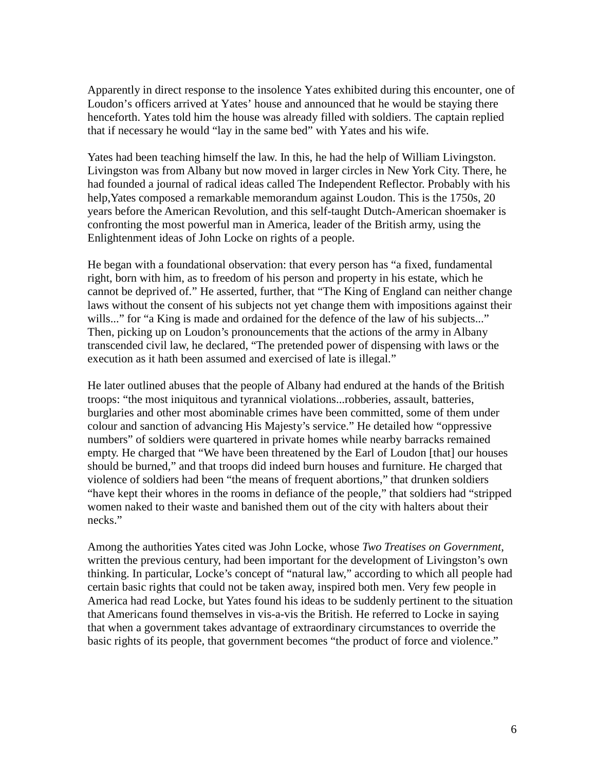Apparently in direct response to the insolence Yates exhibited during this encounter, one of Loudon's officers arrived at Yates' house and announced that he would be staying there henceforth. Yates told him the house was already filled with soldiers. The captain replied that if necessary he would "lay in the same bed" with Yates and his wife.

Yates had been teaching himself the law. In this, he had the help of William Livingston. Livingston was from Albany but now moved in larger circles in New York City. There, he had founded a journal of radical ideas called The Independent Reflector. Probably with his help,Yates composed a remarkable memorandum against Loudon. This is the 1750s, 20 years before the American Revolution, and this self-taught Dutch-American shoemaker is confronting the most powerful man in America, leader of the British army, using the Enlightenment ideas of John Locke on rights of a people.

He began with a foundational observation: that every person has "a fixed, fundamental right, born with him, as to freedom of his person and property in his estate, which he cannot be deprived of." He asserted, further, that "The King of England can neither change laws without the consent of his subjects not yet change them with impositions against their wills..." for "a King is made and ordained for the defence of the law of his subjects..." Then, picking up on Loudon's pronouncements that the actions of the army in Albany transcended civil law, he declared, "The pretended power of dispensing with laws or the execution as it hath been assumed and exercised of late is illegal."

He later outlined abuses that the people of Albany had endured at the hands of the British troops: "the most iniquitous and tyrannical violations...robberies, assault, batteries, burglaries and other most abominable crimes have been committed, some of them under colour and sanction of advancing His Majesty's service." He detailed how "oppressive numbers" of soldiers were quartered in private homes while nearby barracks remained empty. He charged that "We have been threatened by the Earl of Loudon [that] our houses should be burned," and that troops did indeed burn houses and furniture. He charged that violence of soldiers had been "the means of frequent abortions," that drunken soldiers "have kept their whores in the rooms in defiance of the people," that soldiers had "stripped women naked to their waste and banished them out of the city with halters about their necks."

Among the authorities Yates cited was John Locke, whose *Two Treatises on Government*, written the previous century, had been important for the development of Livingston's own thinking. In particular, Locke's concept of "natural law," according to which all people had certain basic rights that could not be taken away, inspired both men. Very few people in America had read Locke, but Yates found his ideas to be suddenly pertinent to the situation that Americans found themselves in vis-a-vis the British. He referred to Locke in saying that when a government takes advantage of extraordinary circumstances to override the basic rights of its people, that government becomes "the product of force and violence."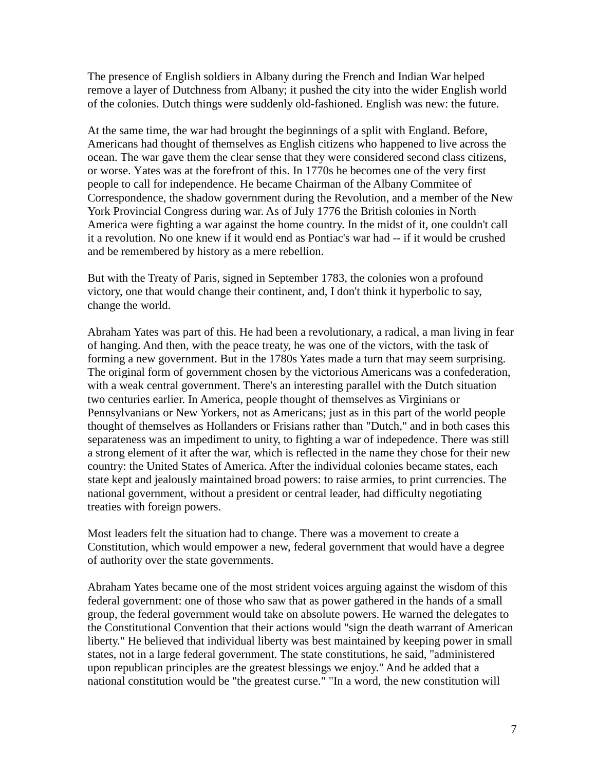The presence of English soldiers in Albany during the French and Indian War helped remove a layer of Dutchness from Albany; it pushed the city into the wider English world of the colonies. Dutch things were suddenly old-fashioned. English was new: the future.

At the same time, the war had brought the beginnings of a split with England. Before, Americans had thought of themselves as English citizens who happened to live across the ocean. The war gave them the clear sense that they were considered second class citizens, or worse. Yates was at the forefront of this. In 1770s he becomes one of the very first people to call for independence. He became Chairman of the Albany Commitee of Correspondence, the shadow government during the Revolution, and a member of the New York Provincial Congress during war. As of July 1776 the British colonies in North America were fighting a war against the home country. In the midst of it, one couldn't call it a revolution. No one knew if it would end as Pontiac's war had -- if it would be crushed and be remembered by history as a mere rebellion.

But with the Treaty of Paris, signed in September 1783, the colonies won a profound victory, one that would change their continent, and, I don't think it hyperbolic to say, change the world.

Abraham Yates was part of this. He had been a revolutionary, a radical, a man living in fear of hanging. And then, with the peace treaty, he was one of the victors, with the task of forming a new government. But in the 1780s Yates made a turn that may seem surprising. The original form of government chosen by the victorious Americans was a confederation, with a weak central government. There's an interesting parallel with the Dutch situation two centuries earlier. In America, people thought of themselves as Virginians or Pennsylvanians or New Yorkers, not as Americans; just as in this part of the world people thought of themselves as Hollanders or Frisians rather than "Dutch," and in both cases this separateness was an impediment to unity, to fighting a war of indepedence. There was still a strong element of it after the war, which is reflected in the name they chose for their new country: the United States of America. After the individual colonies became states, each state kept and jealously maintained broad powers: to raise armies, to print currencies. The national government, without a president or central leader, had difficulty negotiating treaties with foreign powers.

Most leaders felt the situation had to change. There was a movement to create a Constitution, which would empower a new, federal government that would have a degree of authority over the state governments.

Abraham Yates became one of the most strident voices arguing against the wisdom of this federal government: one of those who saw that as power gathered in the hands of a small group, the federal government would take on absolute powers. He warned the delegates to the Constitutional Convention that their actions would "sign the death warrant of American liberty." He believed that individual liberty was best maintained by keeping power in small states, not in a large federal government. The state constitutions, he said, "administered upon republican principles are the greatest blessings we enjoy." And he added that a national constitution would be "the greatest curse." "In a word, the new constitution will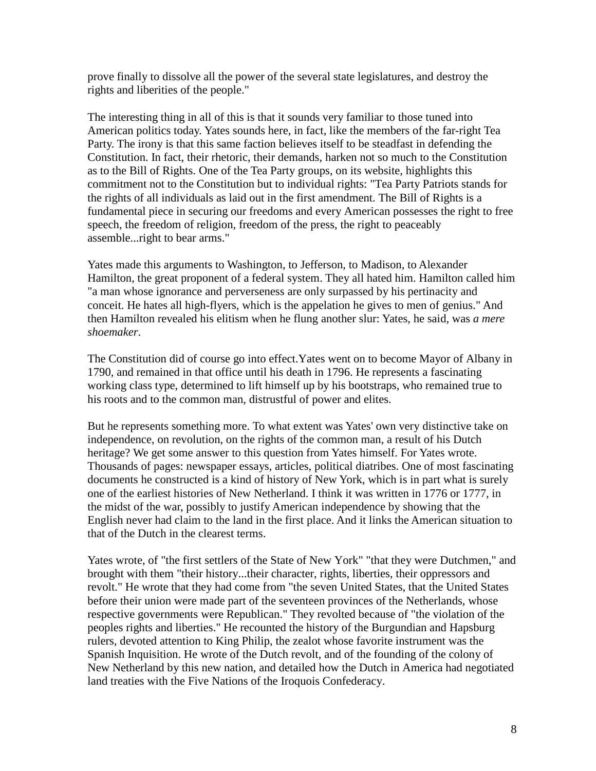prove finally to dissolve all the power of the several state legislatures, and destroy the rights and liberities of the people."

The interesting thing in all of this is that it sounds very familiar to those tuned into American politics today. Yates sounds here, in fact, like the members of the far-right Tea Party. The irony is that this same faction believes itself to be steadfast in defending the Constitution. In fact, their rhetoric, their demands, harken not so much to the Constitution as to the Bill of Rights. One of the Tea Party groups, on its website, highlights this commitment not to the Constitution but to individual rights: "Tea Party Patriots stands for the rights of all individuals as laid out in the first amendment. The Bill of Rights is a fundamental piece in securing our freedoms and every American possesses the right to free speech, the freedom of religion, freedom of the press, the right to peaceably assemble...right to bear arms."

Yates made this arguments to Washington, to Jefferson, to Madison, to Alexander Hamilton, the great proponent of a federal system. They all hated him. Hamilton called him "a man whose ignorance and perverseness are only surpassed by his pertinacity and conceit. He hates all high-flyers, which is the appelation he gives to men of genius." And then Hamilton revealed his elitism when he flung another slur: Yates, he said, was *a mere shoemaker*.

The Constitution did of course go into effect.Yates went on to become Mayor of Albany in 1790, and remained in that office until his death in 1796. He represents a fascinating working class type, determined to lift himself up by his bootstraps, who remained true to his roots and to the common man, distrustful of power and elites.

But he represents something more. To what extent was Yates' own very distinctive take on independence, on revolution, on the rights of the common man, a result of his Dutch heritage? We get some answer to this question from Yates himself. For Yates wrote. Thousands of pages: newspaper essays, articles, political diatribes. One of most fascinating documents he constructed is a kind of history of New York, which is in part what is surely one of the earliest histories of New Netherland. I think it was written in 1776 or 1777, in the midst of the war, possibly to justify American independence by showing that the English never had claim to the land in the first place. And it links the American situation to that of the Dutch in the clearest terms.

Yates wrote, of "the first settlers of the State of New York" "that they were Dutchmen," and brought with them "their history...their character, rights, liberties, their oppressors and revolt." He wrote that they had come from "the seven United States, that the United States before their union were made part of the seventeen provinces of the Netherlands, whose respective governments were Republican." They revolted because of "the violation of the peoples rights and liberties." He recounted the history of the Burgundian and Hapsburg rulers, devoted attention to King Philip, the zealot whose favorite instrument was the Spanish Inquisition. He wrote of the Dutch revolt, and of the founding of the colony of New Netherland by this new nation, and detailed how the Dutch in America had negotiated land treaties with the Five Nations of the Iroquois Confederacy.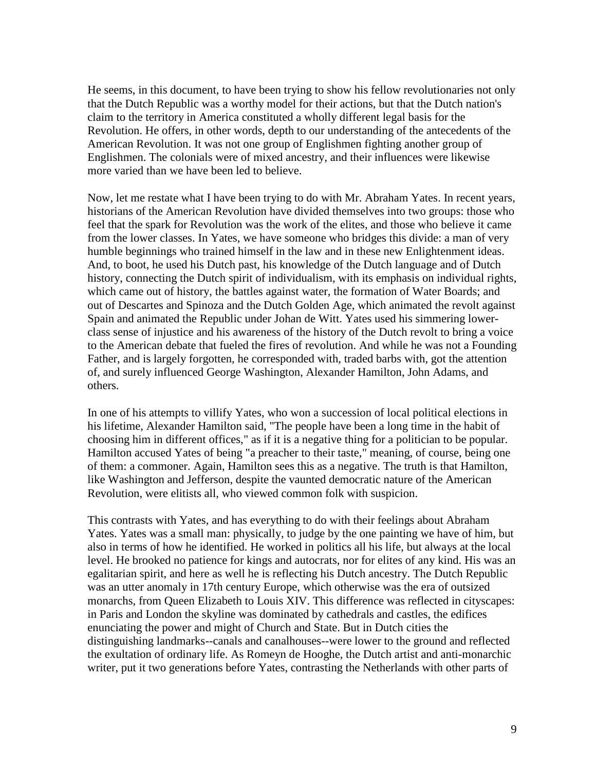He seems, in this document, to have been trying to show his fellow revolutionaries not only that the Dutch Republic was a worthy model for their actions, but that the Dutch nation's claim to the territory in America constituted a wholly different legal basis for the Revolution. He offers, in other words, depth to our understanding of the antecedents of the American Revolution. It was not one group of Englishmen fighting another group of Englishmen. The colonials were of mixed ancestry, and their influences were likewise more varied than we have been led to believe.

Now, let me restate what I have been trying to do with Mr. Abraham Yates. In recent years, historians of the American Revolution have divided themselves into two groups: those who feel that the spark for Revolution was the work of the elites, and those who believe it came from the lower classes. In Yates, we have someone who bridges this divide: a man of very humble beginnings who trained himself in the law and in these new Enlightenment ideas. And, to boot, he used his Dutch past, his knowledge of the Dutch language and of Dutch history, connecting the Dutch spirit of individualism, with its emphasis on individual rights, which came out of history, the battles against water, the formation of Water Boards; and out of Descartes and Spinoza and the Dutch Golden Age, which animated the revolt against Spain and animated the Republic under Johan de Witt. Yates used his simmering lowerclass sense of injustice and his awareness of the history of the Dutch revolt to bring a voice to the American debate that fueled the fires of revolution. And while he was not a Founding Father, and is largely forgotten, he corresponded with, traded barbs with, got the attention of, and surely influenced George Washington, Alexander Hamilton, John Adams, and others.

In one of his attempts to villify Yates, who won a succession of local political elections in his lifetime, Alexander Hamilton said, "The people have been a long time in the habit of choosing him in different offices," as if it is a negative thing for a politician to be popular. Hamilton accused Yates of being "a preacher to their taste," meaning, of course, being one of them: a commoner. Again, Hamilton sees this as a negative. The truth is that Hamilton, like Washington and Jefferson, despite the vaunted democratic nature of the American Revolution, were elitists all, who viewed common folk with suspicion.

This contrasts with Yates, and has everything to do with their feelings about Abraham Yates. Yates was a small man: physically, to judge by the one painting we have of him, but also in terms of how he identified. He worked in politics all his life, but always at the local level. He brooked no patience for kings and autocrats, nor for elites of any kind. His was an egalitarian spirit, and here as well he is reflecting his Dutch ancestry. The Dutch Republic was an utter anomaly in 17th century Europe, which otherwise was the era of outsized monarchs, from Queen Elizabeth to Louis XIV. This difference was reflected in cityscapes: in Paris and London the skyline was dominated by cathedrals and castles, the edifices enunciating the power and might of Church and State. But in Dutch cities the distinguishing landmarks--canals and canalhouses--were lower to the ground and reflected the exultation of ordinary life. As Romeyn de Hooghe, the Dutch artist and anti-monarchic writer, put it two generations before Yates, contrasting the Netherlands with other parts of